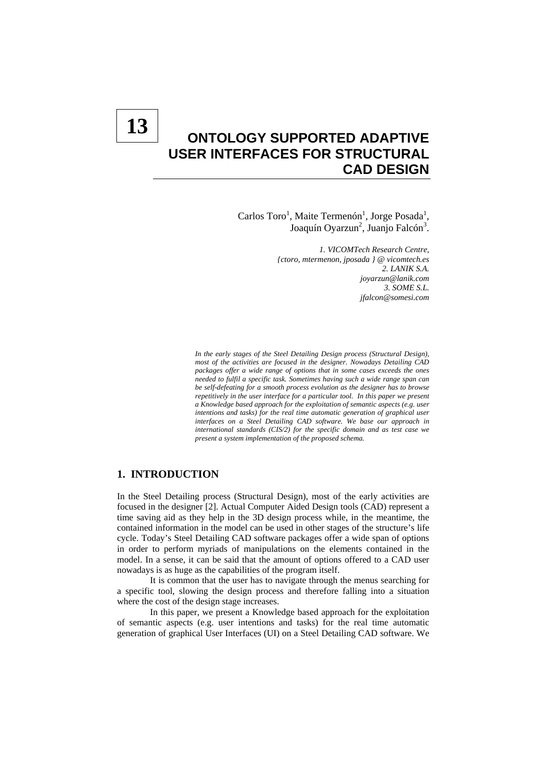# **ONTOLOGY SUPPORTED ADAPTIVE USER INTERFACES FOR STRUCTURAL CAD DESIGN**

Carlos Toro<sup>1</sup>, Maite Termenón<sup>1</sup>, Jorge Posada<sup>1</sup>, Joaquín Oyarzun<sup>2</sup>, Juanjo Falcón<sup>3</sup>.

> *1. VICOMTech Research Centre, {ctoro, mtermenon, jposada } @ vicomtech.es 2. LANIK S.A. joyarzun@lanik.com 3. SOME S.L. jfalcon@somesi.com*

*In the early stages of the Steel Detailing Design process (Structural Design), most of the activities are focused in the designer. Nowadays Detailing CAD packages offer a wide range of options that in some cases exceeds the ones needed to fulfil a specific task. Sometimes having such a wide range span can be self-defeating for a smooth process evolution as the designer has to browse repetitively in the user interface for a particular tool. In this paper we present a Knowledge based approach for the exploitation of semantic aspects (e.g. user intentions and tasks) for the real time automatic generation of graphical user interfaces on a Steel Detailing CAD software. We base our approach in international standards (CIS/2) for the specific domain and as test case we present a system implementation of the proposed schema.* 

## **1. INTRODUCTION**

**13** 

In the Steel Detailing process (Structural Design), most of the early activities are focused in the designer [2]. Actual Computer Aided Design tools (CAD) represent a time saving aid as they help in the 3D design process while, in the meantime, the contained information in the model can be used in other stages of the structure's life cycle. Today's Steel Detailing CAD software packages offer a wide span of options in order to perform myriads of manipulations on the elements contained in the model. In a sense, it can be said that the amount of options offered to a CAD user nowadays is as huge as the capabilities of the program itself.

It is common that the user has to navigate through the menus searching for a specific tool, slowing the design process and therefore falling into a situation where the cost of the design stage increases.

In this paper, we present a Knowledge based approach for the exploitation of semantic aspects (e.g. user intentions and tasks) for the real time automatic generation of graphical User Interfaces (UI) on a Steel Detailing CAD software. We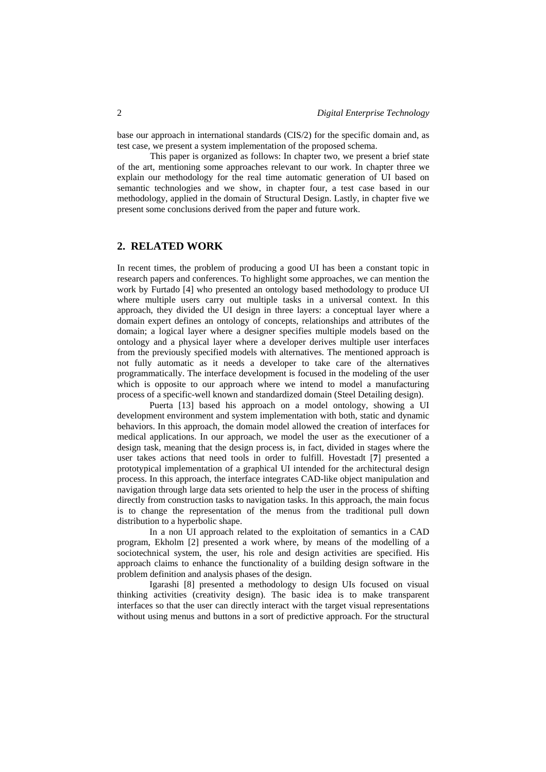base our approach in international standards (CIS/2) for the specific domain and, as test case, we present a system implementation of the proposed schema.

This paper is organized as follows: In chapter two, we present a brief state of the art, mentioning some approaches relevant to our work. In chapter three we explain our methodology for the real time automatic generation of UI based on semantic technologies and we show, in chapter four, a test case based in our methodology, applied in the domain of Structural Design. Lastly, in chapter five we present some conclusions derived from the paper and future work.

### **2. RELATED WORK**

In recent times, the problem of producing a good UI has been a constant topic in research papers and conferences. To highlight some approaches, we can mention the work by Furtado [4] who presented an ontology based methodology to produce UI where multiple users carry out multiple tasks in a universal context. In this approach, they divided the UI design in three layers: a conceptual layer where a domain expert defines an ontology of concepts, relationships and attributes of the domain; a logical layer where a designer specifies multiple models based on the ontology and a physical layer where a developer derives multiple user interfaces from the previously specified models with alternatives. The mentioned approach is not fully automatic as it needs a developer to take care of the alternatives programmatically. The interface development is focused in the modeling of the user which is opposite to our approach where we intend to model a manufacturing process of a specific-well known and standardized domain (Steel Detailing design).

Puerta [13] based his approach on a model ontology, showing a UI development environment and system implementation with both, static and dynamic behaviors. In this approach, the domain model allowed the creation of interfaces for medical applications. In our approach, we model the user as the executioner of a design task, meaning that the design process is, in fact, divided in stages where the user takes actions that need tools in order to fulfill. Hovestadt [**7**] presented a prototypical implementation of a graphical UI intended for the architectural design process. In this approach, the interface integrates CAD-like object manipulation and navigation through large data sets oriented to help the user in the process of shifting directly from construction tasks to navigation tasks. In this approach, the main focus is to change the representation of the menus from the traditional pull down distribution to a hyperbolic shape.

In a non UI approach related to the exploitation of semantics in a CAD program, Ekholm [2] presented a work where, by means of the modelling of a sociotechnical system, the user, his role and design activities are specified. His approach claims to enhance the functionality of a building design software in the problem definition and analysis phases of the design.

Igarashi [8] presented a methodology to design UIs focused on visual thinking activities (creativity design). The basic idea is to make transparent interfaces so that the user can directly interact with the target visual representations without using menus and buttons in a sort of predictive approach. For the structural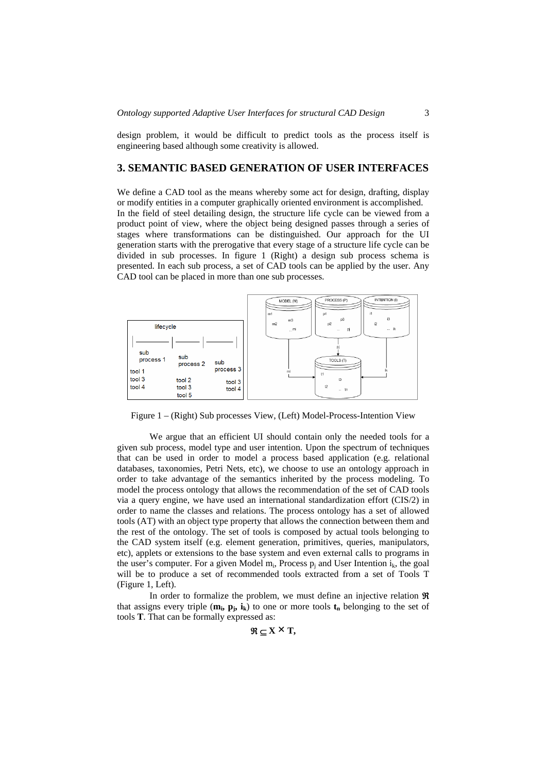design problem, it would be difficult to predict tools as the process itself is engineering based although some creativity is allowed.

## **3. SEMANTIC BASED GENERATION OF USER INTERFACES**

We define a CAD tool as the means whereby some act for design, drafting, display or modify entities in a computer graphically oriented environment is accomplished. In the field of steel detailing design, the structure life cycle can be viewed from a product point of view, where the object being designed passes through a series of stages where transformations can be distinguished. Our approach for the UI generation starts with the prerogative that every stage of a structure life cycle can be divided in sub processes. In figure 1 (Right) a design sub process schema is presented. In each sub process, a set of CAD tools can be applied by the user. Any CAD tool can be placed in more than one sub processes.



Figure 1 – (Right) Sub processes View, (Left) Model-Process-Intention View

We argue that an efficient UI should contain only the needed tools for a given sub process, model type and user intention. Upon the spectrum of techniques that can be used in order to model a process based application (e.g. relational databases, taxonomies, Petri Nets, etc), we choose to use an ontology approach in order to take advantage of the semantics inherited by the process modeling. To model the process ontology that allows the recommendation of the set of CAD tools via a query engine, we have used an international standardization effort (CIS/2) in order to name the classes and relations. The process ontology has a set of allowed tools (AT) with an object type property that allows the connection between them and the rest of the ontology. The set of tools is composed by actual tools belonging to the CAD system itself (e.g. element generation, primitives, queries, manipulators, etc), applets or extensions to the base system and even external calls to programs in the user's computer. For a given Model  $m_i$ , Process  $p_i$  and User Intention  $i_k$ , the goal will be to produce a set of recommended tools extracted from a set of Tools T (Figure 1, Left).

In order to formalize the problem, we must define an injective relation  $\Re$ that assigns every triple  $(m_i, p_i, i_k)$  to one or more tools  $t_n$  belonging to the set of tools **T**. That can be formally expressed as:

 $\mathfrak{R} \subset X \times T$ ,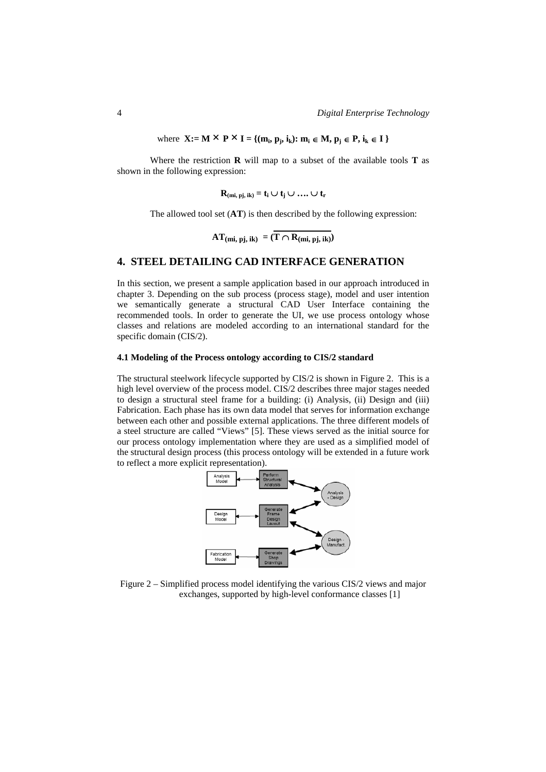where  $X:= M \times P \times I = \{ (m_i, p_j, i_k) : m_i \in M, p_j \in P, i_k \in I \}$ 

Where the restriction **R** will map to a subset of the available tools **T** as shown in the following expression:

$$
\mathbf{R}_{(mi, \, p\mathbf{j}, \, ik)} = \mathbf{t}_i \cup \mathbf{t}_j \cup \ldots \cup \mathbf{t}_r
$$

The allowed tool set (**AT**) is then described by the following expression:

$$
AT_{(mi, pj, ik)} = (T \cap R_{(mi, pj, ik)})
$$

#### **4. STEEL DETAILING CAD INTERFACE GENERATION**

In this section, we present a sample application based in our approach introduced in chapter 3. Depending on the sub process (process stage), model and user intention we semantically generate a structural CAD User Interface containing the recommended tools. In order to generate the UI, we use process ontology whose classes and relations are modeled according to an international standard for the specific domain (CIS/2).

#### **4.1 Modeling of the Process ontology according to CIS/2 standard**

The structural steelwork lifecycle supported by CIS/2 is shown in Figure 2. This is a high level overview of the process model. CIS/2 describes three major stages needed to design a structural steel frame for a building: (i) Analysis, (ii) Design and (iii) Fabrication. Each phase has its own data model that serves for information exchange between each other and possible external applications. The three different models of a steel structure are called "Views" [5]. These views served as the initial source for our process ontology implementation where they are used as a simplified model of the structural design process (this process ontology will be extended in a future work to reflect a more explicit representation).



Figure 2 – Simplified process model identifying the various CIS/2 views and major exchanges, supported by high-level conformance classes [1]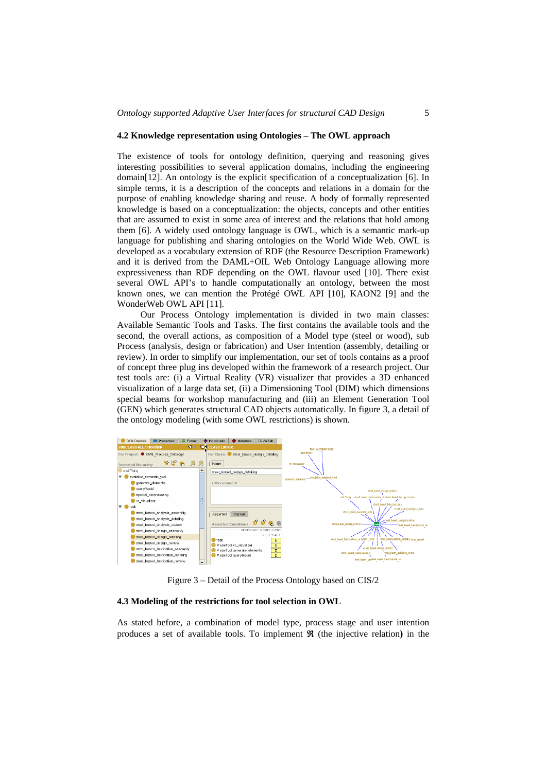#### **4.2 Knowledge representation using Ontologies – The OWL approach**

The existence of tools for ontology definition, querying and reasoning gives interesting possibilities to several application domains, including the engineering domain[12]. An ontology is the explicit specification of a conceptualization [6]. In simple terms, it is a description of the concepts and relations in a domain for the purpose of enabling knowledge sharing and reuse. A body of formally represented knowledge is based on a conceptualization: the objects, concepts and other entities that are assumed to exist in some area of interest and the relations that hold among them [6]. A widely used ontology language is OWL, which is a semantic mark-up language for publishing and sharing ontologies on the World Wide Web. OWL is developed as a vocabulary extension of RDF (the Resource Description Framework) and it is derived from the DAML+OIL Web Ontology Language allowing more expressiveness than RDF depending on the OWL flavour used [10]. There exist several OWL API's to handle computationally an ontology, between the most known ones, we can mention the Protégé OWL API [10], KAON2 [9] and the WonderWeb OWL API [11].

Our Process Ontology implementation is divided in two main classes: Available Semantic Tools and Tasks. The first contains the available tools and the second, the overall actions, as composition of a Model type (steel or wood), sub Process (analysis, design or fabrication) and User Intention (assembly, detailing or review). In order to simplify our implementation, our set of tools contains as a proof of concept three plug ins developed within the framework of a research project. Our test tools are: (i) a Virtual Reality (VR) visualizer that provides a 3D enhanced visualization of a large data set, (ii) a Dimensioning Tool (DIM) which dimensions special beams for workshop manufacturing and (iii) an Element Generation Tool (GEN) which generates structural CAD objects automatically. In figure 3, a detail of the ontology modeling (with some OWL restrictions) is shown.



Figure 3 – Detail of the Process Ontology based on CIS/2

#### **4.3 Modeling of the restrictions for tool selection in OWL**

As stated before, a combination of model type, process stage and user intention produces a set of available tools. To implement ℜ (the injective relation**)** in the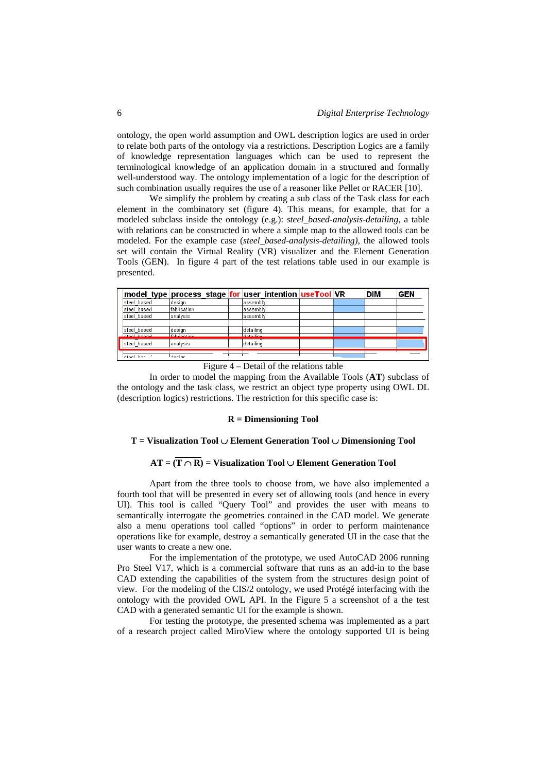ontology, the open world assumption and OWL description logics are used in order to relate both parts of the ontology via a restrictions. Description Logics are a family of knowledge representation languages which can be used to represent the terminological knowledge of an application domain in a structured and formally well-understood way. The ontology implementation of a logic for the description of such combination usually requires the use of a reasoner like Pellet or RACER [10].

We simplify the problem by creating a sub class of the Task class for each element in the combinatory set (figure 4). This means, for example, that for a modeled subclass inside the ontology (e.g.): *steel\_based-analysis-detailing*, a table with relations can be constructed in where a simple map to the allowed tools can be modeled. For the example case (*steel\_based-analysis-detailing)*, the allowed tools set will contain the Virtual Reality (VR) visualizer and the Element Generation Tools (GEN). In figure 4 part of the test relations table used in our example is presented.

|             | model type process stage for user intention useTool VR |              |  | DIM | <b>GEN</b> |
|-------------|--------------------------------------------------------|--------------|--|-----|------------|
| steel based | design                                                 | lassemblv    |  |     |            |
| steel based | fabrication                                            | lassemblv    |  |     |            |
| steel based | lanalvsis                                              | lassemblv    |  |     |            |
|             |                                                        |              |  |     |            |
| steel based | design                                                 | detailing    |  |     |            |
| ctool hoced | fobrication                                            | ومنانم فماما |  |     |            |
| steel based | lanalysis                                              | l detailing  |  |     |            |
|             |                                                        |              |  |     |            |
| otool hor   | dooise                                                 |              |  |     |            |

Figure 4 – Detail of the relations table

In order to model the mapping from the Available Tools (**AT**) subclass of the ontology and the task class, we restrict an object type property using OWL DL (description logics) restrictions. The restriction for this specific case is:

#### **R = Dimensioning Tool**

#### **T = Visualization Tool** ∪ **Element Generation Tool** ∪ **Dimensioning Tool**

# **AT** =  $(\overline{T} \cap \overline{R})$  = Visualization Tool ∪ Element Generation Tool

Apart from the three tools to choose from, we have also implemented a fourth tool that will be presented in every set of allowing tools (and hence in every UI). This tool is called "Query Tool" and provides the user with means to semantically interrogate the geometries contained in the CAD model. We generate also a menu operations tool called "options" in order to perform maintenance operations like for example, destroy a semantically generated UI in the case that the user wants to create a new one.

For the implementation of the prototype, we used AutoCAD 2006 running Pro Steel V17, which is a commercial software that runs as an add-in to the base CAD extending the capabilities of the system from the structures design point of view. For the modeling of the CIS/2 ontology, we used Protégé interfacing with the ontology with the provided OWL API. In the Figure 5 a screenshot of a the test CAD with a generated semantic UI for the example is shown.

For testing the prototype, the presented schema was implemented as a part of a research project called MiroView where the ontology supported UI is being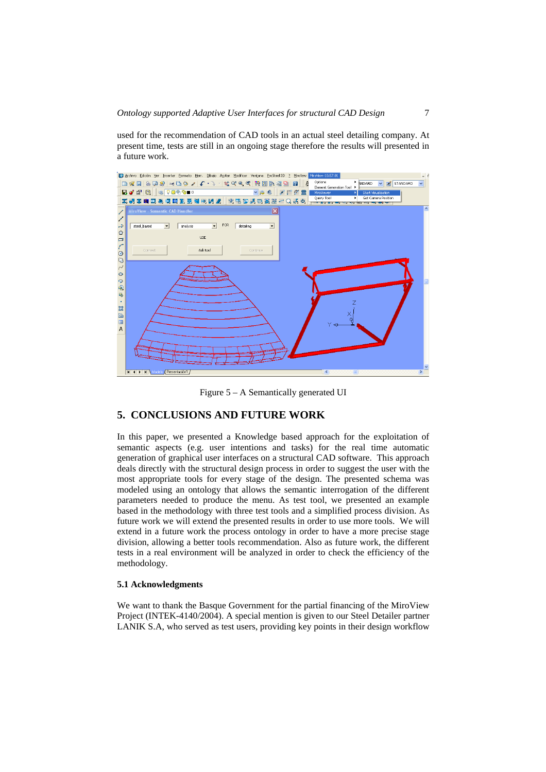used for the recommendation of CAD tools in an actual steel detailing company. At present time, tests are still in an ongoing stage therefore the results will presented in a future work.



Figure 5 – A Semantically generated UI

# **5. CONCLUSIONS AND FUTURE WORK**

In this paper, we presented a Knowledge based approach for the exploitation of semantic aspects (e.g. user intentions and tasks) for the real time automatic generation of graphical user interfaces on a structural CAD software. This approach deals directly with the structural design process in order to suggest the user with the most appropriate tools for every stage of the design. The presented schema was modeled using an ontology that allows the semantic interrogation of the different parameters needed to produce the menu. As test tool, we presented an example based in the methodology with three test tools and a simplified process division. As future work we will extend the presented results in order to use more tools. We will extend in a future work the process ontology in order to have a more precise stage division, allowing a better tools recommendation. Also as future work, the different tests in a real environment will be analyzed in order to check the efficiency of the methodology.

#### **5.1 Acknowledgments**

We want to thank the Basque Government for the partial financing of the MiroView Project (INTEK-4140/2004). A special mention is given to our Steel Detailer partner LANIK S.A, who served as test users, providing key points in their design workflow